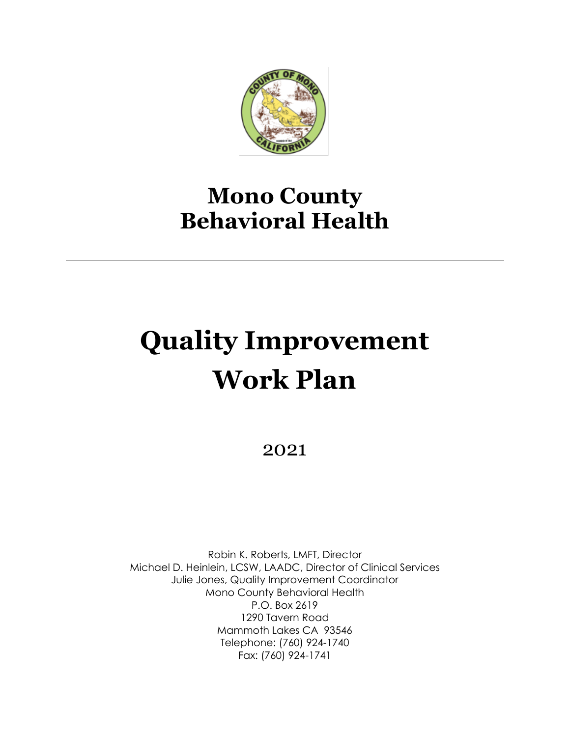

## **Mono County Behavioral Health**

# **Quality Improvement Work Plan**

2021

Robin K. Roberts, LMFT, Director Michael D. Heinlein, LCSW, LAADC, Director of Clinical Services Julie Jones, Quality Improvement Coordinator Mono County Behavioral Health P.O. Box 2619 1290 Tavern Road Mammoth Lakes CA 93546 Telephone: (760) 924-1740 Fax: (760) 924-1741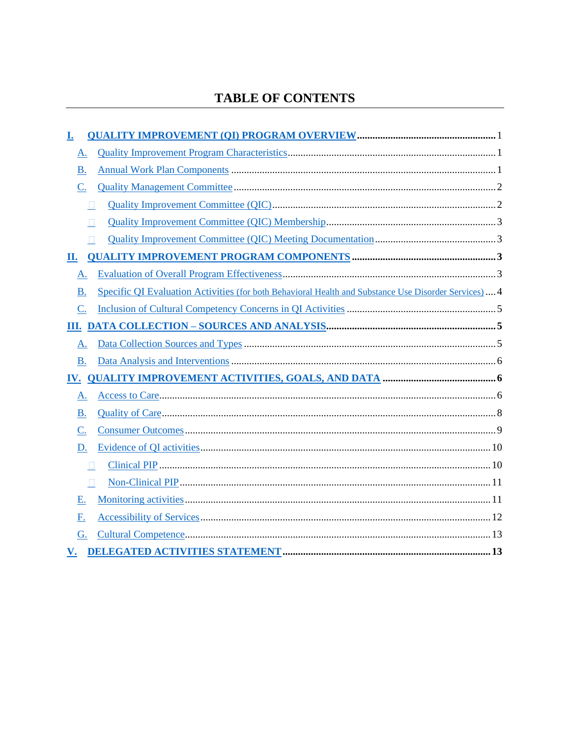### **TABLE OF CONTENTS**

<span id="page-1-0"></span>

| <u>I.</u>              |                                                                                                      |  |
|------------------------|------------------------------------------------------------------------------------------------------|--|
| A.                     |                                                                                                      |  |
| <b>B.</b>              |                                                                                                      |  |
| $\underline{C}$ .      |                                                                                                      |  |
| Ш                      |                                                                                                      |  |
|                        |                                                                                                      |  |
| $\Box$                 |                                                                                                      |  |
| П.                     |                                                                                                      |  |
| A.                     |                                                                                                      |  |
| <b>B.</b>              | Specific QI Evaluation Activities (for both Behavioral Health and Substance Use Disorder Services) 4 |  |
| C.                     |                                                                                                      |  |
|                        |                                                                                                      |  |
| A.                     |                                                                                                      |  |
| <b>B.</b>              |                                                                                                      |  |
|                        |                                                                                                      |  |
| A.                     |                                                                                                      |  |
| <b>B.</b>              |                                                                                                      |  |
| C.                     |                                                                                                      |  |
| D.                     |                                                                                                      |  |
| П                      |                                                                                                      |  |
| $\Box$                 |                                                                                                      |  |
| Ε.                     |                                                                                                      |  |
| <u>F.</u>              |                                                                                                      |  |
| G.                     |                                                                                                      |  |
| $\mathbf{V}_{\bullet}$ |                                                                                                      |  |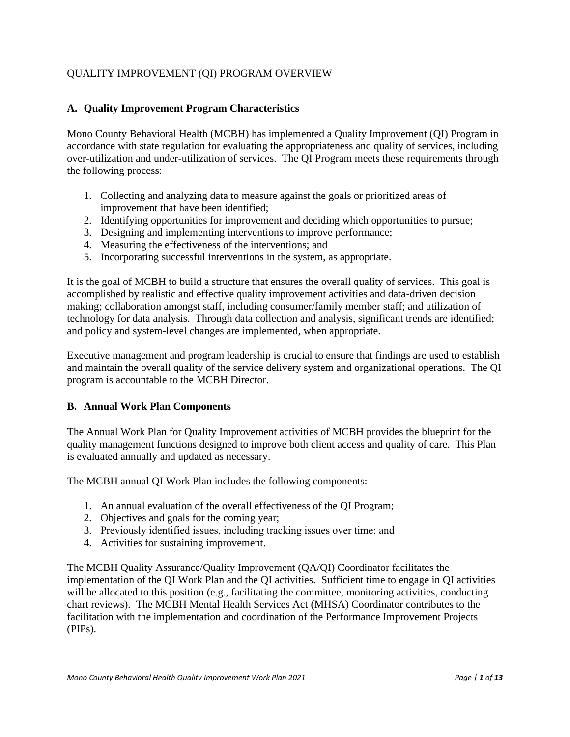#### QUALITY IMPROVEMENT (QI) PROGRAM OVERVIEW

#### <span id="page-2-0"></span>**A. Quality Improvement Program Characteristics**

Mono County Behavioral Health (MCBH) has implemented a Quality Improvement (QI) Program in accordance with state regulation for evaluating the appropriateness and quality of services, including over-utilization and under-utilization of services. The QI Program meets these requirements through the following process:

- 1. Collecting and analyzing data to measure against the goals or prioritized areas of improvement that have been identified;
- 2. Identifying opportunities for improvement and deciding which opportunities to pursue;
- 3. Designing and implementing interventions to improve performance;
- 4. Measuring the effectiveness of the interventions; and
- 5. Incorporating successful interventions in the system, as appropriate.

It is the goal of MCBH to build a structure that ensures the overall quality of services. This goal is accomplished by realistic and effective quality improvement activities and data-driven decision making; collaboration amongst staff, including consumer/family member staff; and utilization of technology for data analysis. Through data collection and analysis, significant trends are identified; and policy and system-level changes are implemented, when appropriate.

Executive management and program leadership is crucial to ensure that findings are used to establish and maintain the overall quality of the service delivery system and organizational operations. The QI program is accountable to the MCBH Director.

#### <span id="page-2-1"></span>**B. Annual Work Plan Components**

The Annual Work Plan for Quality Improvement activities of MCBH provides the blueprint for the quality management functions designed to improve both client access and quality of care. This Plan is evaluated annually and updated as necessary.

The MCBH annual QI Work Plan includes the following components:

- 1. An annual evaluation of the overall effectiveness of the QI Program;
- 2. Objectives and goals for the coming year;
- 3. Previously identified issues, including tracking issues over time; and
- 4. Activities for sustaining improvement.

The MCBH Quality Assurance/Quality Improvement (QA/QI) Coordinator facilitates the implementation of the QI Work Plan and the QI activities. Sufficient time to engage in QI activities will be allocated to this position (e.g., facilitating the committee, monitoring activities, conducting chart reviews). The MCBH Mental Health Services Act (MHSA) Coordinator contributes to the facilitation with the implementation and coordination of the Performance Improvement Projects (PIPs).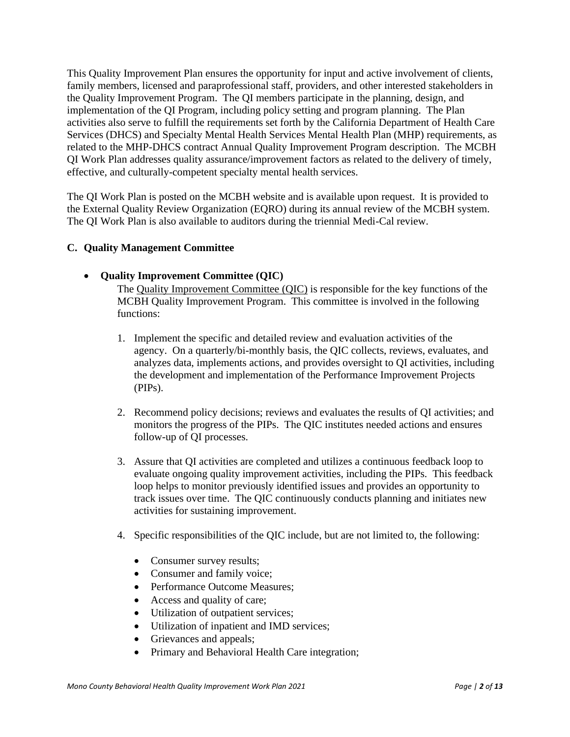This Quality Improvement Plan ensures the opportunity for input and active involvement of clients, family members, licensed and paraprofessional staff, providers, and other interested stakeholders in the Quality Improvement Program. The QI members participate in the planning, design, and implementation of the QI Program, including policy setting and program planning. The Plan activities also serve to fulfill the requirements set forth by the California Department of Health Care Services (DHCS) and Specialty Mental Health Services Mental Health Plan (MHP) requirements, as related to the MHP-DHCS contract Annual Quality Improvement Program description. The MCBH QI Work Plan addresses quality assurance/improvement factors as related to the delivery of timely, effective, and culturally-competent specialty mental health services.

The QI Work Plan is posted on the MCBH website and is available upon request. It is provided to the External Quality Review Organization (EQRO) during its annual review of the MCBH system. The QI Work Plan is also available to auditors during the triennial Medi-Cal review.

#### <span id="page-3-0"></span>**C. Quality Management Committee**

#### <span id="page-3-1"></span>• **Quality Improvement Committee (QIC)**

The Quality Improvement Committee (QIC) is responsible for the key functions of the MCBH Quality Improvement Program. This committee is involved in the following functions:

- 1. Implement the specific and detailed review and evaluation activities of the agency. On a quarterly/bi-monthly basis, the QIC collects, reviews, evaluates, and analyzes data, implements actions, and provides oversight to QI activities, including the development and implementation of the Performance Improvement Projects (PIPs).
- 2. Recommend policy decisions; reviews and evaluates the results of QI activities; and monitors the progress of the PIPs. The QIC institutes needed actions and ensures follow-up of QI processes.
- 3. Assure that QI activities are completed and utilizes a continuous feedback loop to evaluate ongoing quality improvement activities, including the PIPs. This feedback loop helps to monitor previously identified issues and provides an opportunity to track issues over time. The QIC continuously conducts planning and initiates new activities for sustaining improvement.
- 4. Specific responsibilities of the QIC include, but are not limited to, the following:
	- Consumer survey results;
	- Consumer and family voice;
	- Performance Outcome Measures:
	- Access and quality of care;
	- Utilization of outpatient services;
	- Utilization of inpatient and IMD services;
	- Grievances and appeals;
	- Primary and Behavioral Health Care integration;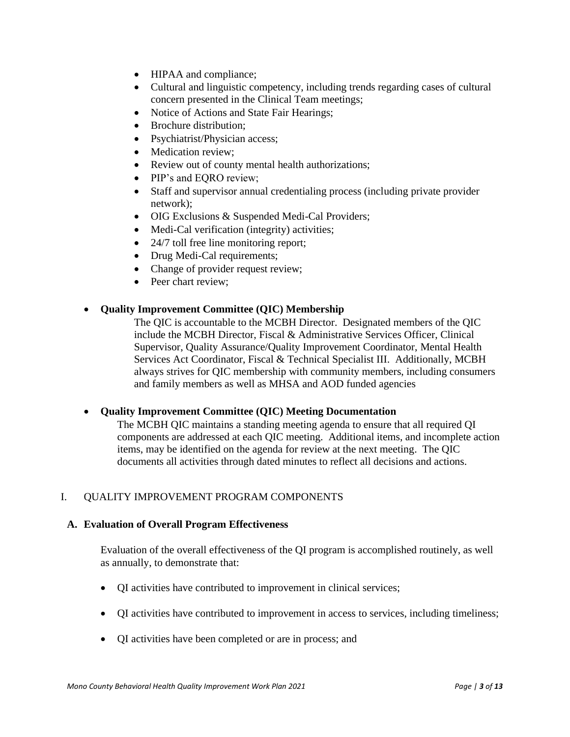- HIPAA and compliance;
- Cultural and linguistic competency, including trends regarding cases of cultural concern presented in the Clinical Team meetings;
- Notice of Actions and State Fair Hearings;
- Brochure distribution:
- Psychiatrist/Physician access;
- Medication review;
- Review out of county mental health authorizations;
- PIP's and EQRO review;
- Staff and supervisor annual credentialing process (including private provider network);
- OIG Exclusions & Suspended Medi-Cal Providers;
- Medi-Cal verification (integrity) activities;
- 24/7 toll free line monitoring report;
- Drug Medi-Cal requirements;
- Change of provider request review;
- Peer chart review;

#### <span id="page-4-0"></span>• **Quality Improvement Committee (QIC) Membership**

The QIC is accountable to the MCBH Director. Designated members of the QIC include the MCBH Director, Fiscal & Administrative Services Officer, Clinical Supervisor, Quality Assurance/Quality Improvement Coordinator, Mental Health Services Act Coordinator, Fiscal & Technical Specialist III. Additionally, MCBH always strives for QIC membership with community members, including consumers and family members as well as MHSA and AOD funded agencies

#### <span id="page-4-1"></span>• **Quality Improvement Committee (QIC) Meeting Documentation**

The MCBH QIC maintains a standing meeting agenda to ensure that all required QI components are addressed at each QIC meeting. Additional items, and incomplete action items, may be identified on the agenda for review at the next meeting. The QIC documents all activities through dated minutes to reflect all decisions and actions.

#### <span id="page-4-2"></span>I. QUALITY IMPROVEMENT PROGRAM COMPONENTS

#### <span id="page-4-3"></span>**A. Evaluation of Overall Program Effectiveness**

Evaluation of the overall effectiveness of the QI program is accomplished routinely, as well as annually, to demonstrate that:

- QI activities have contributed to improvement in clinical services;
- QI activities have contributed to improvement in access to services, including timeliness;
- QI activities have been completed or are in process; and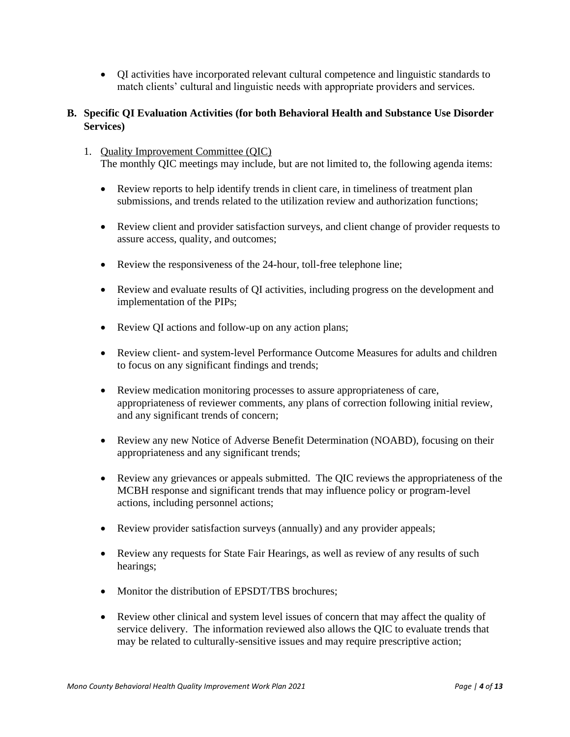• QI activities have incorporated relevant cultural competence and linguistic standards to match clients' cultural and linguistic needs with appropriate providers and services.

#### <span id="page-5-0"></span>**B. Specific QI Evaluation Activities (for both Behavioral Health and Substance Use Disorder Services)**

- 1. Quality Improvement Committee (QIC) The monthly QIC meetings may include, but are not limited to, the following agenda items:
	- Review reports to help identify trends in client care, in timeliness of treatment plan submissions, and trends related to the utilization review and authorization functions;
	- Review client and provider satisfaction surveys, and client change of provider requests to assure access, quality, and outcomes;
	- Review the responsiveness of the 24-hour, toll-free telephone line;
	- Review and evaluate results of QI activities, including progress on the development and implementation of the PIPs;
	- Review QI actions and follow-up on any action plans;
	- Review client- and system-level Performance Outcome Measures for adults and children to focus on any significant findings and trends;
	- Review medication monitoring processes to assure appropriateness of care, appropriateness of reviewer comments, any plans of correction following initial review, and any significant trends of concern;
	- Review any new Notice of Adverse Benefit Determination (NOABD), focusing on their appropriateness and any significant trends;
	- Review any grievances or appeals submitted. The QIC reviews the appropriateness of the MCBH response and significant trends that may influence policy or program-level actions, including personnel actions;
	- Review provider satisfaction surveys (annually) and any provider appeals;
	- Review any requests for State Fair Hearings, as well as review of any results of such hearings;
	- Monitor the distribution of EPSDT/TBS brochures:
	- Review other clinical and system level issues of concern that may affect the quality of service delivery. The information reviewed also allows the QIC to evaluate trends that may be related to culturally-sensitive issues and may require prescriptive action;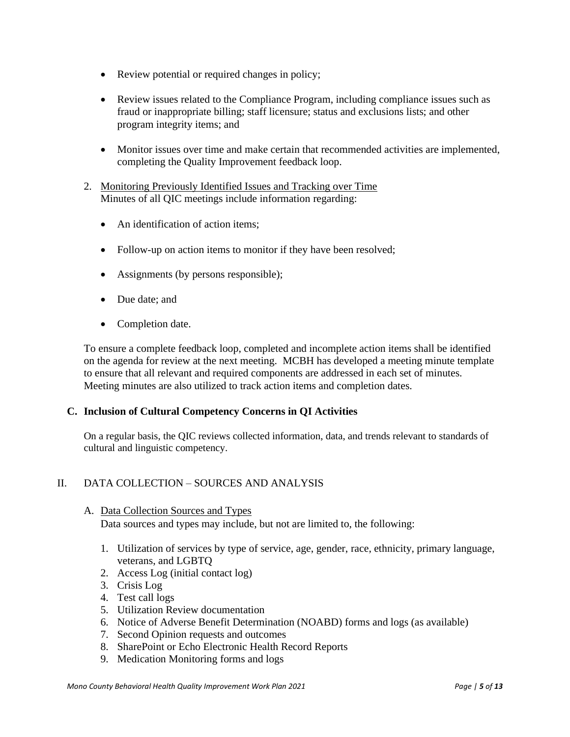- Review potential or required changes in policy;
- Review issues related to the Compliance Program, including compliance issues such as fraud or inappropriate billing; staff licensure; status and exclusions lists; and other program integrity items; and
- Monitor issues over time and make certain that recommended activities are implemented, completing the Quality Improvement feedback loop.
- 2. Monitoring Previously Identified Issues and Tracking over Time Minutes of all QIC meetings include information regarding:
	- An identification of action items:
	- Follow-up on action items to monitor if they have been resolved;
	- Assignments (by persons responsible);
	- Due date: and
	- Completion date.

To ensure a complete feedback loop, completed and incomplete action items shall be identified on the agenda for review at the next meeting. MCBH has developed a meeting minute template to ensure that all relevant and required components are addressed in each set of minutes. Meeting minutes are also utilized to track action items and completion dates.

#### <span id="page-6-0"></span>**C. Inclusion of Cultural Competency Concerns in QI Activities**

On a regular basis, the QIC reviews collected information, data, and trends relevant to standards of cultural and linguistic competency.

#### <span id="page-6-1"></span>II. DATA COLLECTION – SOURCES AND ANALYSIS

#### <span id="page-6-2"></span>A. Data Collection Sources and Types

Data sources and types may include, but not are limited to, the following:

- 1. Utilization of services by type of service, age, gender, race, ethnicity, primary language, veterans, and LGBTQ
- 2. Access Log (initial contact log)
- 3. Crisis Log
- 4. Test call logs
- 5. Utilization Review documentation
- 6. Notice of Adverse Benefit Determination (NOABD) forms and logs (as available)
- 7. Second Opinion requests and outcomes
- 8. SharePoint or Echo Electronic Health Record Reports
- 9. Medication Monitoring forms and logs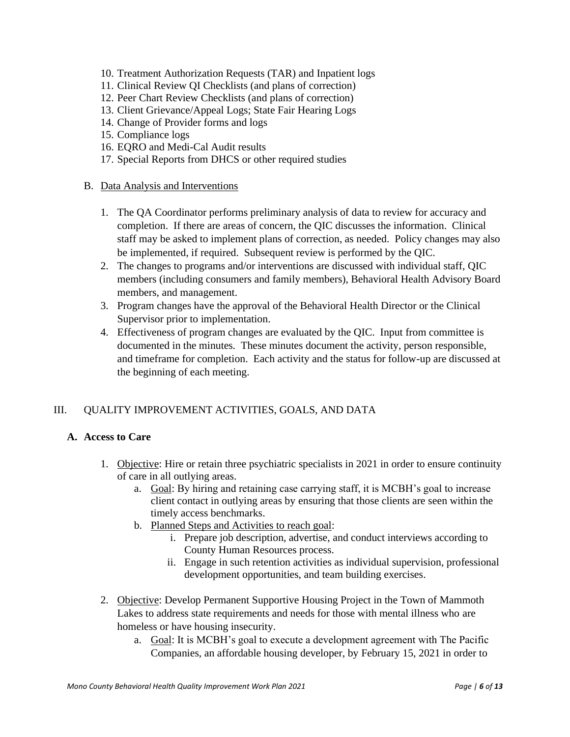- 10. Treatment Authorization Requests (TAR) and Inpatient logs
- 11. Clinical Review QI Checklists (and plans of correction)
- 12. Peer Chart Review Checklists (and plans of correction)
- 13. Client Grievance/Appeal Logs; State Fair Hearing Logs
- 14. Change of Provider forms and logs
- 15. Compliance logs
- 16. EQRO and Medi-Cal Audit results
- 17. Special Reports from DHCS or other required studies
- <span id="page-7-0"></span>B. Data Analysis and Interventions
	- 1. The QA Coordinator performs preliminary analysis of data to review for accuracy and completion. If there are areas of concern, the QIC discusses the information. Clinical staff may be asked to implement plans of correction, as needed. Policy changes may also be implemented, if required. Subsequent review is performed by the QIC.
	- 2. The changes to programs and/or interventions are discussed with individual staff, QIC members (including consumers and family members), Behavioral Health Advisory Board members, and management.
	- 3. Program changes have the approval of the Behavioral Health Director or the Clinical Supervisor prior to implementation.
	- 4. Effectiveness of program changes are evaluated by the QIC. Input from committee is documented in the minutes. These minutes document the activity, person responsible, and timeframe for completion. Each activity and the status for follow-up are discussed at the beginning of each meeting.

#### <span id="page-7-1"></span>III. QUALITY IMPROVEMENT ACTIVITIES, GOALS, AND DATA

#### <span id="page-7-2"></span>**A. Access to Care**

- 1. Objective: Hire or retain three psychiatric specialists in 2021 in order to ensure continuity of care in all outlying areas.
	- a. Goal: By hiring and retaining case carrying staff, it is MCBH's goal to increase client contact in outlying areas by ensuring that those clients are seen within the timely access benchmarks.
	- b. Planned Steps and Activities to reach goal:
		- i. Prepare job description, advertise, and conduct interviews according to County Human Resources process.
		- ii. Engage in such retention activities as individual supervision, professional development opportunities, and team building exercises.
- 2. Objective: Develop Permanent Supportive Housing Project in the Town of Mammoth Lakes to address state requirements and needs for those with mental illness who are homeless or have housing insecurity.
	- a. Goal: It is MCBH's goal to execute a development agreement with The Pacific Companies, an affordable housing developer, by February 15, 2021 in order to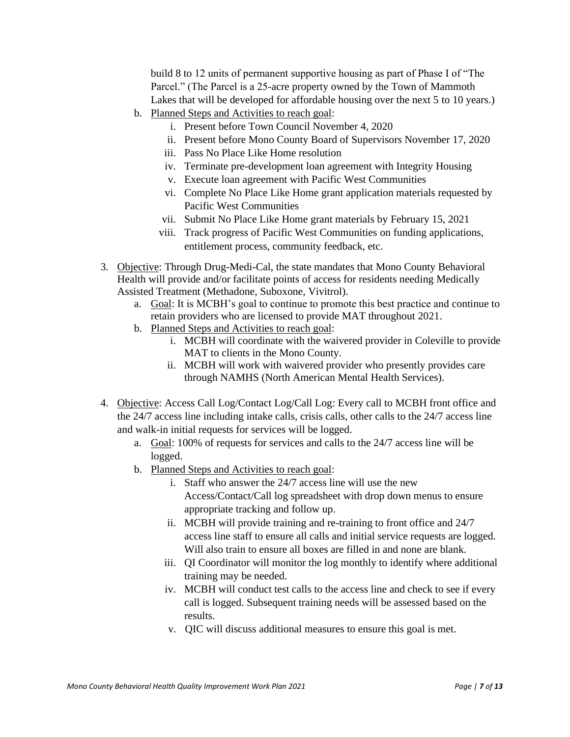build 8 to 12 units of permanent supportive housing as part of Phase I of "The Parcel." (The Parcel is a 25-acre property owned by the Town of Mammoth Lakes that will be developed for affordable housing over the next 5 to 10 years.)

- b. Planned Steps and Activities to reach goal:
	- i. Present before Town Council November 4, 2020
	- ii. Present before Mono County Board of Supervisors November 17, 2020
	- iii. Pass No Place Like Home resolution
	- iv. Terminate pre-development loan agreement with Integrity Housing
	- v. Execute loan agreement with Pacific West Communities
	- vi. Complete No Place Like Home grant application materials requested by Pacific West Communities
	- vii. Submit No Place Like Home grant materials by February 15, 2021
	- viii. Track progress of Pacific West Communities on funding applications, entitlement process, community feedback, etc.
- 3. Objective: Through Drug-Medi-Cal, the state mandates that Mono County Behavioral Health will provide and/or facilitate points of access for residents needing Medically Assisted Treatment (Methadone, Suboxone, Vivitrol).
	- a. Goal: It is MCBH's goal to continue to promote this best practice and continue to retain providers who are licensed to provide MAT throughout 2021.
	- b. Planned Steps and Activities to reach goal:
		- i. MCBH will coordinate with the waivered provider in Coleville to provide MAT to clients in the Mono County.
		- ii. MCBH will work with waivered provider who presently provides care through NAMHS (North American Mental Health Services).
- 4. Objective: Access Call Log/Contact Log/Call Log: Every call to MCBH front office and the 24/7 access line including intake calls, crisis calls, other calls to the 24/7 access line and walk-in initial requests for services will be logged.
	- a. Goal: 100% of requests for services and calls to the 24/7 access line will be logged.
	- b. Planned Steps and Activities to reach goal:
		- i. Staff who answer the 24/7 access line will use the new Access/Contact/Call log spreadsheet with drop down menus to ensure appropriate tracking and follow up.
		- ii. MCBH will provide training and re-training to front office and 24/7 access line staff to ensure all calls and initial service requests are logged. Will also train to ensure all boxes are filled in and none are blank.
		- iii. QI Coordinator will monitor the log monthly to identify where additional training may be needed.
		- iv. MCBH will conduct test calls to the access line and check to see if every call is logged. Subsequent training needs will be assessed based on the results.
		- v. QIC will discuss additional measures to ensure this goal is met.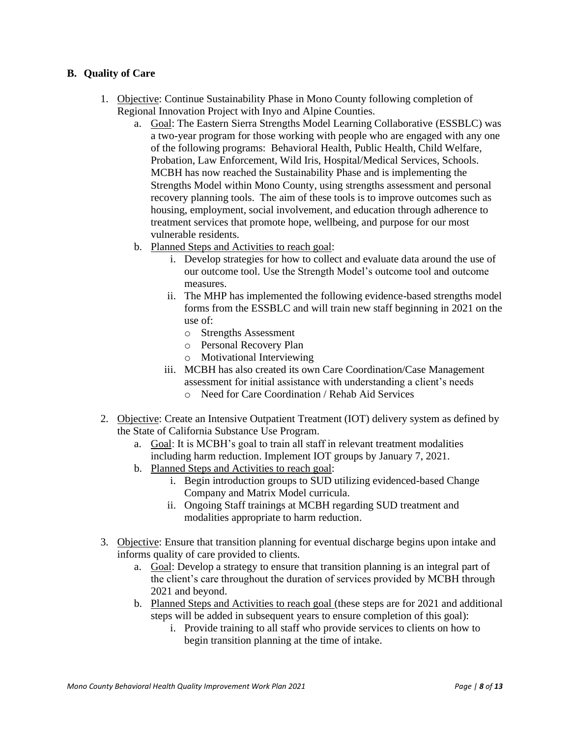#### <span id="page-9-0"></span>**B. Quality of Care**

- 1. Objective: Continue Sustainability Phase in Mono County following completion of Regional Innovation Project with Inyo and Alpine Counties.
	- a. Goal: The Eastern Sierra Strengths Model Learning Collaborative (ESSBLC) was a two-year program for those working with people who are engaged with any one of the following programs: Behavioral Health, Public Health, Child Welfare, Probation, Law Enforcement, Wild Iris, Hospital/Medical Services, Schools. MCBH has now reached the Sustainability Phase and is implementing the Strengths Model within Mono County, using strengths assessment and personal recovery planning tools. The aim of these tools is to improve outcomes such as housing, employment, social involvement, and education through adherence to treatment services that promote hope, wellbeing, and purpose for our most vulnerable residents.
	- b. Planned Steps and Activities to reach goal:
		- i. Develop strategies for how to collect and evaluate data around the use of our outcome tool. Use the Strength Model's outcome tool and outcome measures.
		- ii. The MHP has implemented the following evidence-based strengths model forms from the ESSBLC and will train new staff beginning in 2021 on the use of:
			- o Strengths Assessment
			- o Personal Recovery Plan
			- o Motivational Interviewing
		- iii. MCBH has also created its own Care Coordination/Case Management assessment for initial assistance with understanding a client's needs
			- o Need for Care Coordination / Rehab Aid Services
- 2. Objective: Create an Intensive Outpatient Treatment (IOT) delivery system as defined by the State of California Substance Use Program.
	- a. Goal: It is MCBH's goal to train all staff in relevant treatment modalities including harm reduction. Implement IOT groups by January 7, 2021.
	- b. Planned Steps and Activities to reach goal:
		- i. Begin introduction groups to SUD utilizing evidenced-based Change Company and Matrix Model curricula.
		- ii. Ongoing Staff trainings at MCBH regarding SUD treatment and modalities appropriate to harm reduction.
- 3. Objective: Ensure that transition planning for eventual discharge begins upon intake and informs quality of care provided to clients.
	- a. Goal: Develop a strategy to ensure that transition planning is an integral part of the client's care throughout the duration of services provided by MCBH through 2021 and beyond.
	- b. Planned Steps and Activities to reach goal (these steps are for 2021 and additional steps will be added in subsequent years to ensure completion of this goal):
		- i. Provide training to all staff who provide services to clients on how to begin transition planning at the time of intake.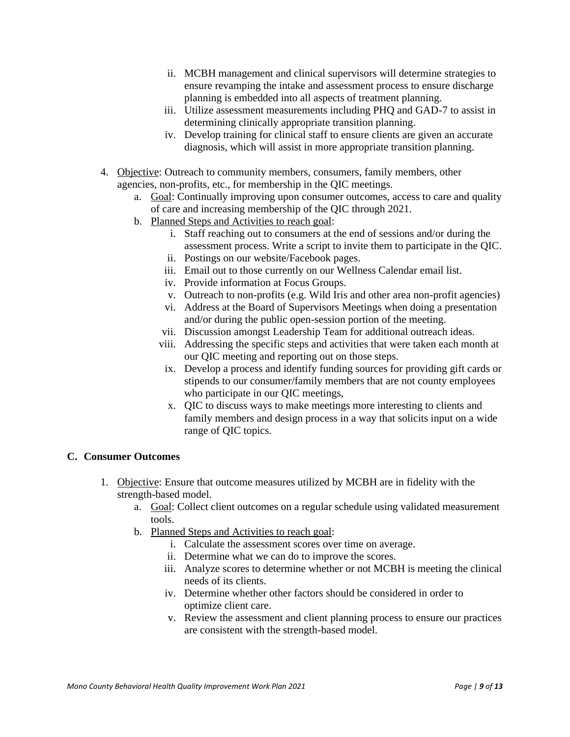- ii. MCBH management and clinical supervisors will determine strategies to ensure revamping the intake and assessment process to ensure discharge planning is embedded into all aspects of treatment planning.
- iii. Utilize assessment measurements including PHQ and GAD-7 to assist in determining clinically appropriate transition planning.
- iv. Develop training for clinical staff to ensure clients are given an accurate diagnosis, which will assist in more appropriate transition planning.
- 4. Objective: Outreach to community members, consumers, family members, other agencies, non-profits, etc., for membership in the QIC meetings.
	- a. Goal: Continually improving upon consumer outcomes, access to care and quality of care and increasing membership of the QIC through 2021.
	- b. Planned Steps and Activities to reach goal:
		- i. Staff reaching out to consumers at the end of sessions and/or during the assessment process. Write a script to invite them to participate in the QIC.
		- ii. Postings on our website/Facebook pages.
		- iii. Email out to those currently on our Wellness Calendar email list.
		- iv. Provide information at Focus Groups.
		- v. Outreach to non-profits (e.g. Wild Iris and other area non-profit agencies)
		- vi. Address at the Board of Supervisors Meetings when doing a presentation and/or during the public open-session portion of the meeting.
		- vii. Discussion amongst Leadership Team for additional outreach ideas.
		- viii. Addressing the specific steps and activities that were taken each month at our QIC meeting and reporting out on those steps.
			- ix. Develop a process and identify funding sources for providing gift cards or stipends to our consumer/family members that are not county employees who participate in our QIC meetings,
			- x. QIC to discuss ways to make meetings more interesting to clients and family members and design process in a way that solicits input on a wide range of QIC topics.

#### <span id="page-10-0"></span>**C. Consumer Outcomes**

- 1. Objective: Ensure that outcome measures utilized by MCBH are in fidelity with the strength-based model.
	- a. Goal: Collect client outcomes on a regular schedule using validated measurement tools.
	- b. Planned Steps and Activities to reach goal:
		- i. Calculate the assessment scores over time on average.
		- ii. Determine what we can do to improve the scores.
		- iii. Analyze scores to determine whether or not MCBH is meeting the clinical needs of its clients.
		- iv. Determine whether other factors should be considered in order to optimize client care.
		- v. Review the assessment and client planning process to ensure our practices are consistent with the strength-based model.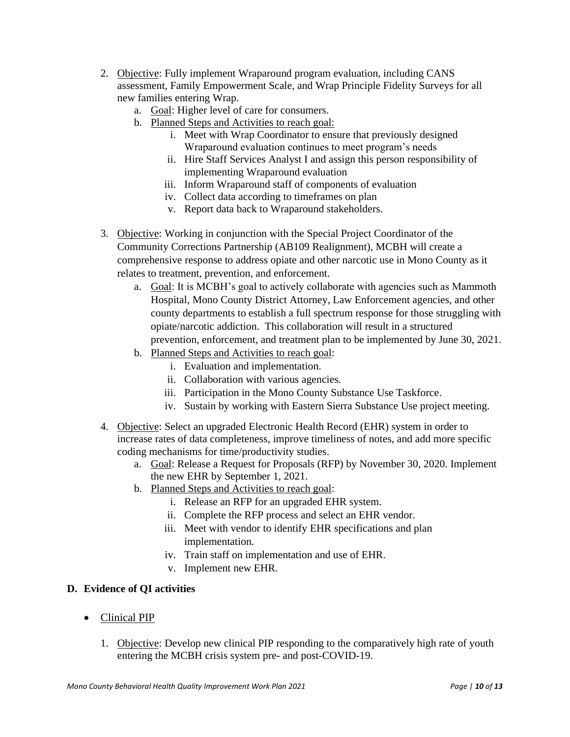- 2. Objective: Fully implement Wraparound program evaluation, including CANS assessment, Family Empowerment Scale, and Wrap Principle Fidelity Surveys for all new families entering Wrap.
	- a. Goal: Higher level of care for consumers.
	- b. Planned Steps and Activities to reach goal:
		- i. Meet with Wrap Coordinator to ensure that previously designed Wraparound evaluation continues to meet program's needs
		- ii. Hire Staff Services Analyst I and assign this person responsibility of implementing Wraparound evaluation
		- iii. Inform Wraparound staff of components of evaluation
		- iv. Collect data according to timeframes on plan
		- v. Report data back to Wraparound stakeholders.
- 3. Objective: Working in conjunction with the Special Project Coordinator of the Community Corrections Partnership (AB109 Realignment), MCBH will create a comprehensive response to address opiate and other narcotic use in Mono County as it relates to treatment, prevention, and enforcement.
	- a. Goal: It is MCBH's goal to actively collaborate with agencies such as Mammoth Hospital, Mono County District Attorney, Law Enforcement agencies, and other county departments to establish a full spectrum response for those struggling with opiate/narcotic addiction. This collaboration will result in a structured prevention, enforcement, and treatment plan to be implemented by June 30, 2021.
	- b. Planned Steps and Activities to reach goal:
		- i. Evaluation and implementation.
		- ii. Collaboration with various agencies.
		- iii. Participation in the Mono County Substance Use Taskforce.
		- iv. Sustain by working with Eastern Sierra Substance Use project meeting.
- 4. Objective: Select an upgraded Electronic Health Record (EHR) system in order to increase rates of data completeness, improve timeliness of notes, and add more specific coding mechanisms for time/productivity studies.
	- a. Goal: Release a Request for Proposals (RFP) by November 30, 2020. Implement the new EHR by September 1, 2021.
	- b. Planned Steps and Activities to reach goal:
		- i. Release an RFP for an upgraded EHR system.
		- ii. Complete the RFP process and select an EHR vendor.
		- iii. Meet with vendor to identify EHR specifications and plan implementation.
		- iv. Train staff on implementation and use of EHR.
		- v. Implement new EHR.

#### <span id="page-11-0"></span>**D. Evidence of QI activities**

- <span id="page-11-1"></span>• Clinical PIP
	- 1. **Objective:** Develop new clinical PIP responding to the comparatively high rate of youth entering the MCBH crisis system pre- and post-COVID-19.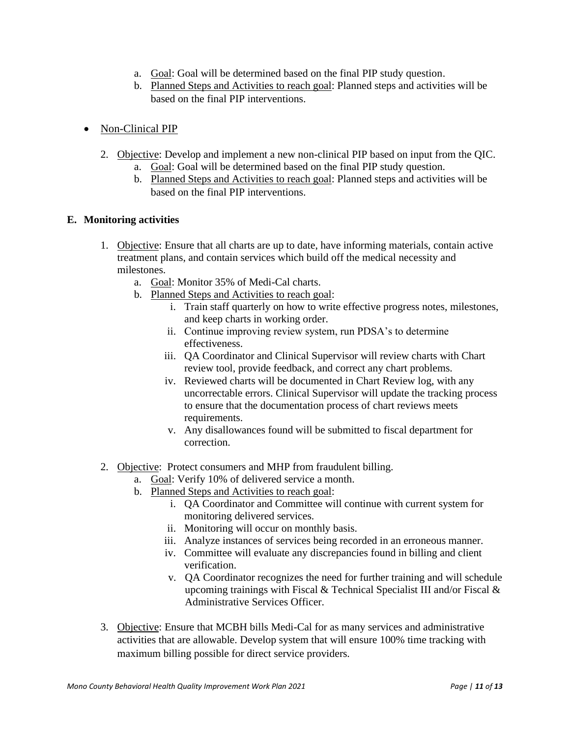- a. Goal: Goal will be determined based on the final PIP study question.
- b. Planned Steps and Activities to reach goal: Planned steps and activities will be based on the final PIP interventions.
- <span id="page-12-0"></span>• Non-Clinical PIP
	- 2. Objective: Develop and implement a new non-clinical PIP based on input from the QIC.
		- a. Goal: Goal will be determined based on the final PIP study question.
		- b. Planned Steps and Activities to reach goal: Planned steps and activities will be based on the final PIP interventions.

#### <span id="page-12-1"></span>**E. Monitoring activities**

- 1. Objective: Ensure that all charts are up to date, have informing materials, contain active treatment plans, and contain services which build off the medical necessity and milestones.
	- a. Goal: Monitor 35% of Medi-Cal charts.
	- b. Planned Steps and Activities to reach goal:
		- i. Train staff quarterly on how to write effective progress notes, milestones, and keep charts in working order.
		- ii. Continue improving review system, run PDSA's to determine effectiveness.
		- iii. QA Coordinator and Clinical Supervisor will review charts with Chart review tool, provide feedback, and correct any chart problems.
		- iv. Reviewed charts will be documented in Chart Review log, with any uncorrectable errors. Clinical Supervisor will update the tracking process to ensure that the documentation process of chart reviews meets requirements.
		- v. Any disallowances found will be submitted to fiscal department for correction.
- 2. Objective: Protect consumers and MHP from fraudulent billing.
	- a. Goal: Verify 10% of delivered service a month.
	- b. Planned Steps and Activities to reach goal:
		- i. QA Coordinator and Committee will continue with current system for monitoring delivered services.
		- ii. Monitoring will occur on monthly basis.
		- iii. Analyze instances of services being recorded in an erroneous manner.
		- iv. Committee will evaluate any discrepancies found in billing and client verification.
		- v. QA Coordinator recognizes the need for further training and will schedule upcoming trainings with Fiscal & Technical Specialist III and/or Fiscal & Administrative Services Officer.
- 3. Objective: Ensure that MCBH bills Medi-Cal for as many services and administrative activities that are allowable. Develop system that will ensure 100% time tracking with maximum billing possible for direct service providers.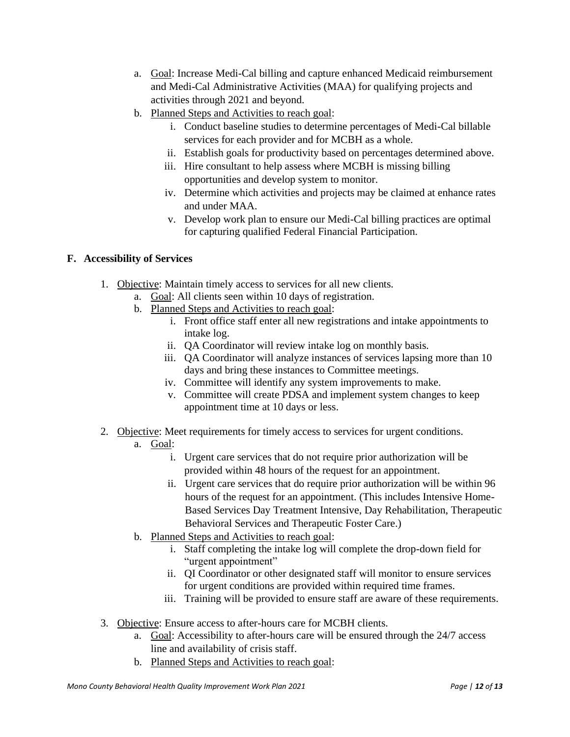- a. Goal: Increase Medi-Cal billing and capture enhanced Medicaid reimbursement and Medi-Cal Administrative Activities (MAA) for qualifying projects and activities through 2021 and beyond.
- b. Planned Steps and Activities to reach goal:
	- i. Conduct baseline studies to determine percentages of Medi-Cal billable services for each provider and for MCBH as a whole.
	- ii. Establish goals for productivity based on percentages determined above.
	- iii. Hire consultant to help assess where MCBH is missing billing opportunities and develop system to monitor.
	- iv. Determine which activities and projects may be claimed at enhance rates and under MAA.
	- v. Develop work plan to ensure our Medi-Cal billing practices are optimal for capturing qualified Federal Financial Participation.

#### <span id="page-13-0"></span>**F. Accessibility of Services**

- 1. Objective: Maintain timely access to services for all new clients.
	- a. Goal: All clients seen within 10 days of registration.
	- b. Planned Steps and Activities to reach goal:
		- i. Front office staff enter all new registrations and intake appointments to intake log.
		- ii. QA Coordinator will review intake log on monthly basis.
		- iii. QA Coordinator will analyze instances of services lapsing more than 10 days and bring these instances to Committee meetings.
		- iv. Committee will identify any system improvements to make.
		- v. Committee will create PDSA and implement system changes to keep appointment time at 10 days or less.
- 2. Objective: Meet requirements for timely access to services for urgent conditions.
	- a. Goal:
		- i. Urgent care services that do not require prior authorization will be provided within 48 hours of the request for an appointment.
		- ii. Urgent care services that do require prior authorization will be within 96 hours of the request for an appointment. (This includes Intensive Home-Based Services Day Treatment Intensive, Day Rehabilitation, Therapeutic Behavioral Services and Therapeutic Foster Care.)
	- b. Planned Steps and Activities to reach goal:
		- i. Staff completing the intake log will complete the drop-down field for "urgent appointment"
		- ii. QI Coordinator or other designated staff will monitor to ensure services for urgent conditions are provided within required time frames.
		- iii. Training will be provided to ensure staff are aware of these requirements.
- 3. Objective: Ensure access to after-hours care for MCBH clients.
	- a. Goal: Accessibility to after-hours care will be ensured through the 24/7 access line and availability of crisis staff.
	- b. Planned Steps and Activities to reach goal: